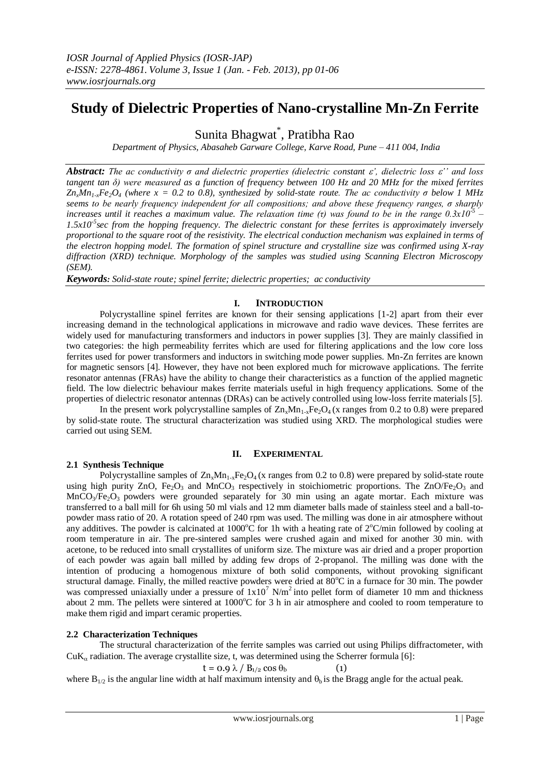# **Study of Dielectric Properties of Nano-crystalline Mn-Zn Ferrite**

Sunita Bhagwat\* , Pratibha Rao

*Department of Physics, Abasaheb Garware College, Karve Road, Pune – 411 004, India*

*Abstract: The ac conductivity σ and dielectric properties (dielectric constant ', dielectric loss '' and loss tangent tan δ) were measured as a function of frequency between 100 Hz and 20 MHz for the mixed ferrites ZnxMn1-xFe2O<sup>4</sup> (where x = 0.2 to 0.8), synthesized by solid-state route. The ac conductivity σ below 1 MHz seems to be nearly frequency independent for all compositions; and above these frequency ranges, σ sharply increases until it reaches a maximum value. The relaxation time (τ) was found to be in the range 0.3x10-5 – 1.5x10-5 sec from the hopping frequency. The dielectric constant for these ferrites is approximately inversely proportional to the square root of the resistivity. The electrical conduction mechanism was explained in terms of the electron hopping model. The formation of spinel structure and crystalline size was confirmed using X-ray diffraction (XRD) technique. Morphology of the samples was studied using Scanning Electron Microscopy (SEM).*

*Keywords: Solid-state route; spinel ferrite; dielectric properties; ac conductivity*

## **I. INTRODUCTION**

Polycrystalline spinel ferrites are known for their sensing applications [1-2] apart from their ever increasing demand in the technological applications in microwave and radio wave devices. These ferrites are widely used for manufacturing transformers and inductors in power supplies [3]. They are mainly classified in two categories: the high permeability ferrites which are used for filtering applications and the low core loss ferrites used for power transformers and inductors in switching mode power supplies. Mn-Zn ferrites are known for magnetic sensors [4]. However, they have not been explored much for microwave applications. The ferrite resonator antennas (FRAs) have the ability to change their characteristics as a function of the applied magnetic field. The low dielectric behaviour makes ferrite materials useful in high frequency applications. Some of the properties of dielectric resonator antennas (DRAs) can be actively controlled using low-loss ferrite materials [5].

In the present work polycrystalline samples of  $\text{Zn}_x\text{Mn}_{1-x}\text{Fe}_2\text{O}_4$  (x ranges from 0.2 to 0.8) were prepared by solid-state route. The structural characterization was studied using XRD. The morphological studies were carried out using SEM.

### **II. EXPERIMENTAL**

### **2.1 Synthesis Technique**

Polycrystalline samples of  $Zn_xMn_{1-x}Fe<sub>2</sub>O<sub>4</sub>$  (x ranges from 0.2 to 0.8) were prepared by solid-state route using high purity ZnO, Fe<sub>2</sub>O<sub>3</sub> and MnCO<sub>3</sub> respectively in stoichiometric proportions. The ZnO/Fe<sub>2</sub>O<sub>3</sub> and  $MnCO<sub>3</sub>/Fe<sub>2</sub>O<sub>3</sub>$  powders were grounded separately for 30 min using an agate mortar. Each mixture was transferred to a ball mill for 6h using 50 ml vials and 12 mm diameter balls made of stainless steel and a ball-topowder mass ratio of 20. A rotation speed of 240 rpm was used. The milling was done in air atmosphere without any additives. The powder is calcinated at 1000°C for 1h with a heating rate of  $2^{\circ}$ C/min followed by cooling at room temperature in air. The pre-sintered samples were crushed again and mixed for another 30 min. with acetone, to be reduced into small crystallites of uniform size. The mixture was air dried and a proper proportion of each powder was again ball milled by adding few drops of 2-propanol. The milling was done with the intention of producing a homogenous mixture of both solid components, without provoking significant structural damage. Finally, the milled reactive powders were dried at  $80^{\circ}$ C in a furnace for 30 min. The powder was compressed uniaxially under a pressure of  $1x10^7$  N/m<sup>2</sup> into pellet form of diameter 10 mm and thickness about 2 mm. The pellets were sintered at 1000°C for 3 h in air atmosphere and cooled to room temperature to make them rigid and impart ceramic properties.

## **2.2 Characterization Techniques**

The structural characterization of the ferrite samples was carried out using Philips diffractometer, with  $\text{CuK}_{\alpha}$  radiation. The average crystallite size, t, was determined using the Scherrer formula [6]:

$$
t = 0.9 \lambda / B_{1/2} \cos \theta_b \tag{1}
$$

where  $B_{1/2}$  is the angular line width at half maximum intensity and  $\theta_b$  is the Bragg angle for the actual peak.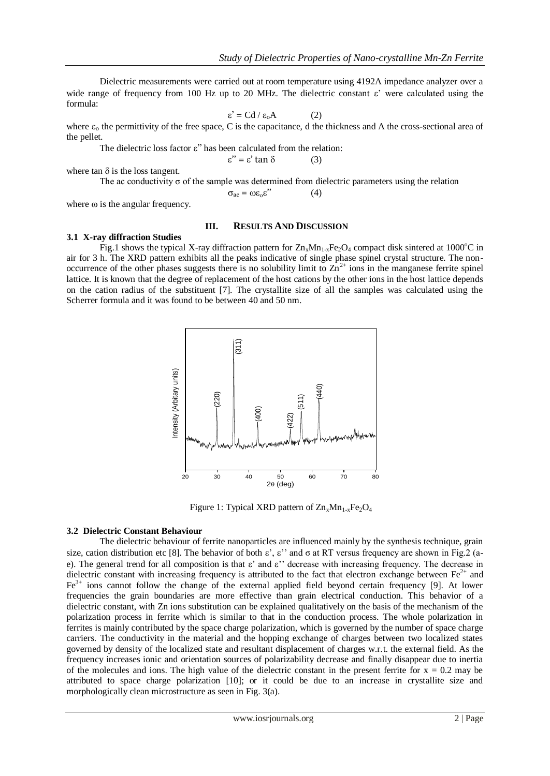Dielectric measurements were carried out at room temperature using 4192A impedance analyzer over a wide range of frequency from 100 Hz up to 20 MHz. The dielectric constant  $\varepsilon$ ' were calculated using the formula:

$$
\varepsilon' = C d / \varepsilon_0 A \tag{2}
$$

where  $\varepsilon_0$  the permittivity of the free space, C is the capacitance, d the thickness and A the cross-sectional area of the pellet.

The dielectric loss factor  $\varepsilon$ " has been calculated from the relation:

$$
\varepsilon'' = \varepsilon' \tan \delta \tag{3}
$$

where tan  $\delta$  is the loss tangent.

The ac conductivity  $\sigma$  of the sample was determined from dielectric parameters using the relation  $\sigma_{\text{ac}} = \omega \varepsilon_0 \varepsilon$ " (4)

where  $\omega$  is the angular frequency.

### **III. RESULTS AND DISCUSSION**

#### **3.1 X-ray diffraction Studies**

Fig.1 shows the typical X-ray diffraction pattern for  $Zn_xMn_{1-x}Fe_2O_4$  compact disk sintered at 1000°C in air for 3 h. The XRD pattern exhibits all the peaks indicative of single phase spinel crystal structure. The nonoccurrence of the other phases suggests there is no solubility limit to  $\overline{Zn}^{2+}$  ions in the manganese ferrite spinel lattice. It is known that the degree of replacement of the host cations by the other ions in the host lattice depends on the cation radius of the substituent [7]. The crystallite size of all the samples was calculated using the Scherrer formula and it was found to be between 40 and 50 nm.



Figure 1: Typical XRD pattern of  $\text{Zn}_{x}\text{Mn}_{1-x}\text{Fe}_2\text{O}_4$ 

### **3.2 Dielectric Constant Behaviour**

The dielectric behaviour of ferrite nanoparticles are influenced mainly by the synthesis technique, grain size, cation distribution etc [8]. The behavior of both  $\varepsilon'$ ,  $\varepsilon''$  and  $\sigma$  at RT versus frequency are shown in Fig.2 (ae). The general trend for all composition is that  $\varepsilon'$  and  $\varepsilon''$  decrease with increasing frequency. The decrease in dielectric constant with increasing frequency is attributed to the fact that electron exchange between  $Fe<sup>2+</sup>$  and  $Fe<sup>3+</sup>$  ions cannot follow the change of the external applied field beyond certain frequency [9]. At lower frequencies the grain boundaries are more effective than grain electrical conduction. This behavior of a dielectric constant, with Zn ions substitution can be explained qualitatively on the basis of the mechanism of the polarization process in ferrite which is similar to that in the conduction process. The whole polarization in ferrites is mainly contributed by the space charge polarization, which is governed by the number of space charge carriers. The conductivity in the material and the hopping exchange of charges between two localized states governed by density of the localized state and resultant displacement of charges w.r.t. the external field. As the frequency increases ionic and orientation sources of polarizability decrease and finally disappear due to inertia of the molecules and ions. The high value of the dielectric constant in the present ferrite for  $x = 0.2$  may be attributed to space charge polarization [10]; or it could be due to an increase in crystallite size and morphologically clean microstructure as seen in Fig. 3(a).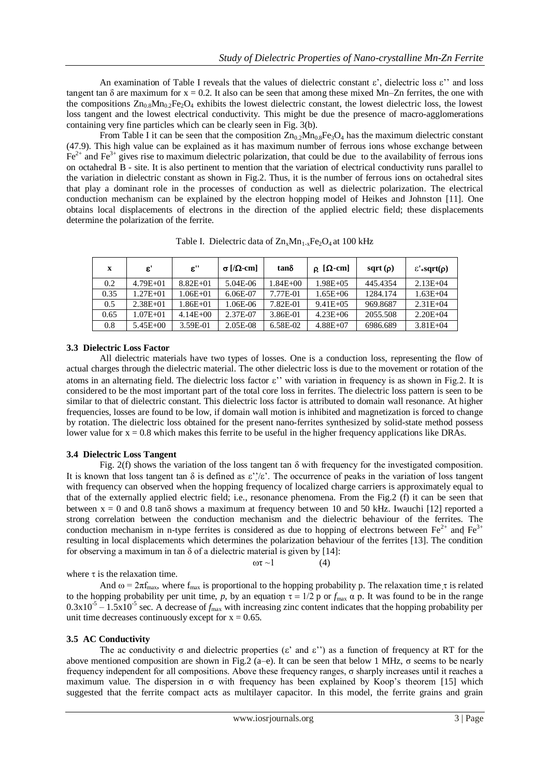An examination of Table I reveals that the values of dielectric constant  $\varepsilon'$ , dielectric loss  $\varepsilon''$  and loss tangent tan  $\delta$  are maximum for  $x = 0.2$ . It also can be seen that among these mixed Mn–Zn ferrites, the one with the compositions  $Zn_{0.8}Mn_{0.2}Fe<sub>2</sub>O<sub>4</sub>$  exhibits the lowest dielectric constant, the lowest dielectric loss, the lowest loss tangent and the lowest electrical conductivity. This might be due the presence of macro-agglomerations containing very fine particles which can be clearly seen in Fig. 3(b).

From Table I it can be seen that the composition  $Zn_{0.2}Mn_{0.8}Fe<sub>3</sub>O<sub>4</sub>$  has the maximum dielectric constant (47.9). This high value can be explained as it has maximum number of ferrous ions whose exchange between  $Fe<sup>2+</sup>$  and  $Fe<sup>3+</sup>$  gives rise to maximum dielectric polarization, that could be due to the availability of ferrous ions on octahedral B - site. It is also pertinent to mention that the variation of electrical conductivity runs parallel to the variation in dielectric constant as shown in Fig.2. Thus, it is the number of ferrous ions on octahedral sites that play a dominant role in the processes of conduction as well as dielectric polarization. The electrical conduction mechanism can be explained by the electron hopping model of Heikes and Johnston [11]. One obtains local displacements of electrons in the direction of the applied electric field; these displacements determine the polarization of the ferrite.

| $\mathbf x$ | $\boldsymbol{\varepsilon}'$ | $\epsilon$ " | $\sigma$ [/ $\Omega$ -cm] | tanδ        | $\rho$ [ $\Omega$ -cm] | sqrt $(\rho)$ | $\epsilon$ '*sqrt( $\rho$ ) |
|-------------|-----------------------------|--------------|---------------------------|-------------|------------------------|---------------|-----------------------------|
| 0.2         | $4.79E + 01$                | $8.82E + 01$ | 5.04E-06                  | $.84E + 00$ | $1.98E + 05$           | 445.4354      | $2.13E + 04$                |
| 0.35        | $.27E + 01$                 | $1.06E + 01$ | 6.06E-07                  | 7.77E-01    | $1.65E + 06$           | 1284.174      | $1.63E + 04$                |
| 0.5         | $2.38E + 01$                | $1.86E + 01$ | 1.06E-06                  | 7.82E-01    | $9.41E + 0.5$          | 969.8687      | $2.31E + 04$                |
| 0.65        | $.07E + 01$                 | $4.14E + 00$ | 2.37E-07                  | 3.86E-01    | $4.23E + 06$           | 2055.508      | $2.20E + 04$                |
| 0.8         | $5.45E + 00$                | 3.59E-01     | 2.05E-08                  | 6.58E-02    | $4.88E + 07$           | 6986.689      | $3.81E + 04$                |

Table I. Dielectric data of  $Zn_xMn_{1-x}Fe_2O_4$  at 100 kHz

## **3.3 Dielectric Loss Factor**

All dielectric materials have two types of losses. One is a conduction loss, representing the flow of actual charges through the dielectric material. The other dielectric loss is due to the movement or rotation of the atoms in an alternating field. The dielectric loss factor  $\varepsilon$ " with variation in frequency is as shown in Fig.2. It is considered to be the most important part of the total core loss in ferrites. The dielectric loss pattern is seen to be similar to that of dielectric constant. This dielectric loss factor is attributed to domain wall resonance. At higher frequencies, losses are found to be low, if domain wall motion is inhibited and magnetization is forced to change by rotation. The dielectric loss obtained for the present nano-ferrites synthesized by solid-state method possess lower value for  $x = 0.8$  which makes this ferrite to be useful in the higher frequency applications like DRAs.

## **3.4 Dielectric Loss Tangent**

Fig. 2(f) shows the variation of the loss tangent tan  $\delta$  with frequency for the investigated composition. It is known that loss tangent tan  $\delta$  is defined as  $\varepsilon$ ''/ $\varepsilon$ '. The occurrence of peaks in the variation of loss tangent with frequency can observed when the hopping frequency of localized charge carriers is approximately equal to that of the externally applied electric field; i.e., resonance phenomena. From the Fig.2 (f) it can be seen that between  $x = 0$  and 0.8 tan $\delta$  shows a maximum at frequency between 10 and 50 kHz. Iwauchi [12] reported a strong correlation between the conduction mechanism and the dielectric behaviour of the ferrites. The conduction mechanism in n-type ferrites is considered as due to hopping of electrons between  $Fe^{2+}$  and  $Fe^{3+}$ resulting in local displacements which determines the polarization behaviour of the ferrites [13]. The condition for observing a maximum in tan  $\delta$  of a dielectric material is given by [14]:

where  $\tau$  is the relaxation time.

And  $\omega = 2\pi f_{\text{max}}$ , where  $f_{\text{max}}$  is proportional to the hopping probability p. The relaxation time  $\tau$  is related to the hopping probability per unit time, *p*, by an equation  $\tau = 1/2$  p or  $f_{\text{max}}$   $\alpha$  p. It was found to be in the range  $0.3x10^{-5} - 1.5x10^{-5}$  sec. A decrease of  $f_{\text{max}}$  with increasing zinc content indicates that the hopping probability per unit time decreases continuously except for  $x = 0.65$ .

 $ωτ ~1$  (4)

### **3.5 AC Conductivity**

The ac conductivity  $\sigma$  and dielectric properties ( $\varepsilon'$  and  $\varepsilon''$ ) as a function of frequency at RT for the above mentioned composition are shown in Fig.2 (a–e). It can be seen that below 1 MHz,  $\sigma$  seems to be nearly frequency independent for all compositions. Above these frequency ranges, σ sharply increases until it reaches a maximum value. The dispersion in  $\sigma$  with frequency has been explained by Koop's theorem [15] which suggested that the ferrite compact acts as multilayer capacitor. In this model, the ferrite grains and grain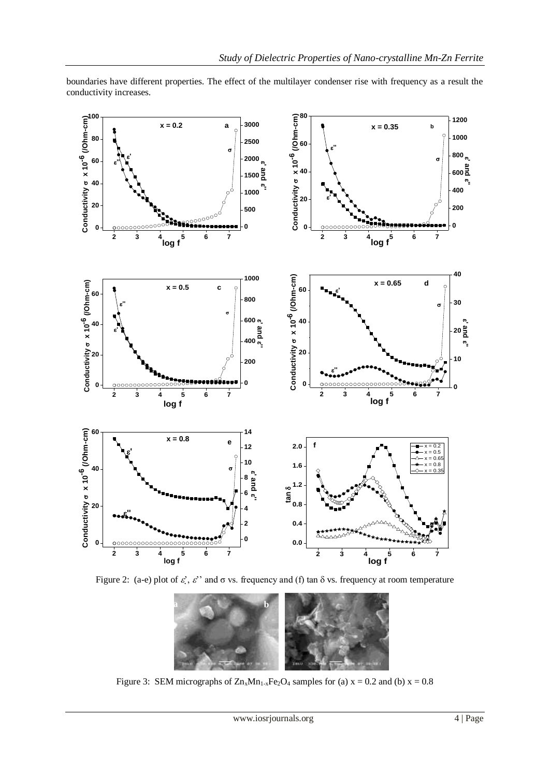

conductivity increases.

Figure 2: (a-e) plot of  $\varepsilon'$ ,  $\varepsilon'$  and  $\sigma$  vs. frequency and (f) tan  $\delta$  vs. frequency at room temperature



Figure 3: SEM micrographs of  $Zn_xMn_{1-x}Fe_2O_4$  samples for (a)  $x = 0.2$  and (b)  $x = 0.8$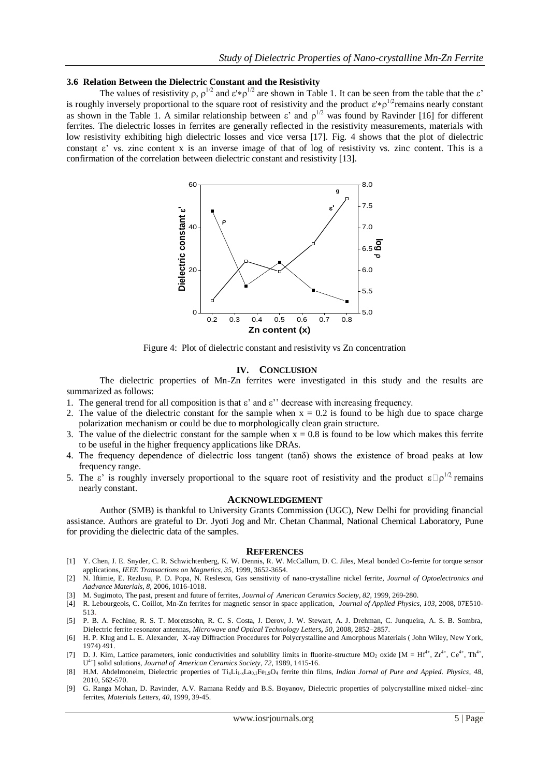#### **3.6 Relation Between the Dielectric Constant and the Resistivity**

The values of resistivity  $\rho$ ,  $\rho^{1/2}$  and  $\varepsilon' \ast \rho^{1/2}$  are shown in Table 1. It can be seen from the table that the  $\varepsilon'$ is roughly inversely proportional to the square root of resistivity and the product  $\varepsilon^* \phi^{1/2}$ remains nearly constant as shown in the Table 1. A similar relationship between  $\varepsilon'$  and  $\rho^{1/2}$  was found by Ravinder [16] for different ferrites. The dielectric losses in ferrites are generally reflected in the resistivity measurements, materials with low resistivity exhibiting high dielectric losses and vice versa [17]. Fig. 4 shows that the plot of dielectric constant  $\varepsilon$ ' vs. zinc content x is an inverse image of that of log of resistivity vs. zinc content. This is a confirmation of the correlation between dielectric constant and resistivity [13].



Figure 4: Plot of dielectric constant and resistivity vs Zn concentration

#### **IV. CONCLUSION**

The dielectric properties of Mn-Zn ferrites were investigated in this study and the results are summarized as follows:

- 1. The general trend for all composition is that  $\varepsilon'$  and  $\varepsilon''$  decrease with increasing frequency.
- 2. The value of the dielectric constant for the sample when  $x = 0.2$  is found to be high due to space charge polarization mechanism or could be due to morphologically clean grain structure.
- 3. The value of the dielectric constant for the sample when  $x = 0.8$  is found to be low which makes this ferrite to be useful in the higher frequency applications like DRAs.
- 4. The frequency dependence of dielectric loss tangent (tanδ) shows the existence of broad peaks at low frequency range.
- 5. The  $\varepsilon'$  is roughly inversely proportional to the square root of resistivity and the product  $\varepsilon \Box \rho^{1/2}$  remains nearly constant.

#### **ACKNOWLEDGEMENT**

Author (SMB) is thankful to University Grants Commission (UGC), New Delhi for providing financial assistance. Authors are grateful to Dr. Jyoti Jog and Mr. Chetan Chanmal, National Chemical Laboratory, Pune for providing the dielectric data of the samples.

#### **REFERENCES**

- [1] Y. Chen, J. E. Snyder, C. R. Schwichtenberg, K. W. Dennis, R. W. McCallum, D. C. Jiles, Metal bonded Co-ferrite for torque sensor applications, *IEEE Transactions on Magnetics, 35*, 1999, 3652-3654.
- [2] N. Iftimie, E. Rezlusu, P. D. Popa, N. Reslescu, Gas sensitivity of nano-crystalline nickel ferrite, *Journal of Optoelectronics and Aadvance Materials, 8*, 2006, 1016-1018.
- [3] M. Sugimoto, The past, present and future of ferrites, *Journal of American Ceramics Society, 82*, 1999, 269-280.
- [4] R. Lebourgeois, C. Coillot, Mn-Zn ferrites for magnetic sensor in space application, *Journal of Applied Physics, 103*, 2008, 07E510- 513.
- [5] P. B. A. Fechine, R. S. T. Moretzsohn, R. C. S. Costa, J. Derov, J. W. Stewart, A. J. Drehman, C. Junqueira, A. S. B. Sombra, Dielectric ferrite resonator antennas, *Microwave and Optical Technology Letters, 50*, 2008, 2852–2857.
- [6] H. P. Klug and L. E. Alexander, X-ray Diffraction Procedures for Polycrystalline and Amorphous Materials ( John Wiley, New York, 1974) 491.
- [7] D. J. Kim, Lattice parameters, ionic conductivities and solubility limits in fluorite-structure MO<sub>2</sub> oxide [M = Hf<sup>4+</sup>,  $\text{Ze}^{4+}$ ,  $\text{Ce}^{4+}$ , Th<sup>4+</sup>, U 4+] solid solutions, *Journal of American Ceramics Society, 72*, 1989, 1415-16.
- [8] H.M. Abdelmoneim, Dielectric properties of Ti<sub>x</sub>Li<sub>1-x</sub>La<sub>0.1</sub>Fe<sub>1.9</sub>O<sub>4</sub> ferrite thin films, *Indian Jornal of Pure and Appied. Physics*, 48, 2010, 562-570.
- [9] G. Ranga Mohan, D. Ravinder, A.V. Ramana Reddy and B.S. Boyanov, Dielectric properties of polycrystalline mixed nickel–zinc ferrites, *Materials Letters, 40*, 1999, 39-45.